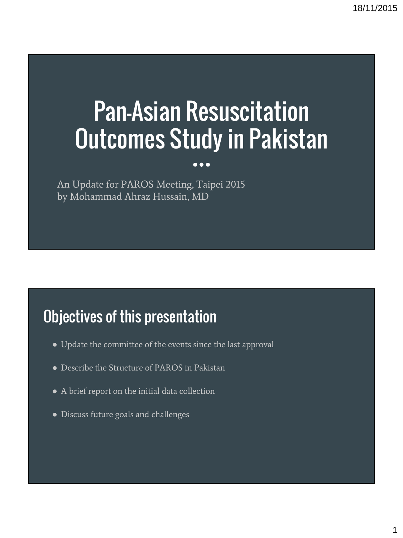# Pan-Asian Resuscitation Outcomes Study in Pakistan

 $\bullet\bullet\bullet$ 

An Update for PAROS Meeting, Taipei 2015 by Mohammad Ahraz Hussain, MD

### Objectives of this presentation

- Update the committee of the events since the last approval
- Describe the Structure of PAROS in Pakistan
- A brief report on the initial data collection
- Discuss future goals and challenges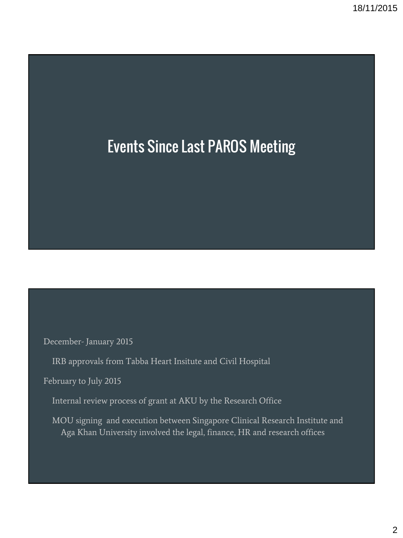## Events Since Last PAROS Meeting

December- January 2015

IRB approvals from Tabba Heart Insitute and Civil Hospital

February to July 2015

Internal review process of grant at AKU by the Research Office

MOU signing and execution between Singapore Clinical Research Institute and Aga Khan University involved the legal, finance, HR and research offices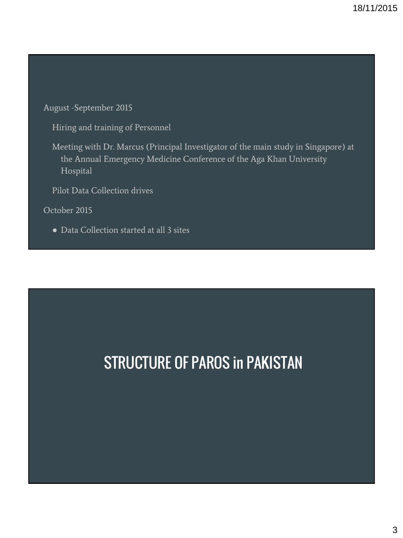August -September 2015

Hiring and training of Personnel

Meeting with Dr. Marcus (Principal Investigator of the main study in Singapore) at the Annual Emergency Medicine Conference of the Aga Khan University Hospital

Pilot Data Collection drives

October 2015

● Data Collection started at all 3 sites

# STRUCTURE OF PAROS in PAKISTAN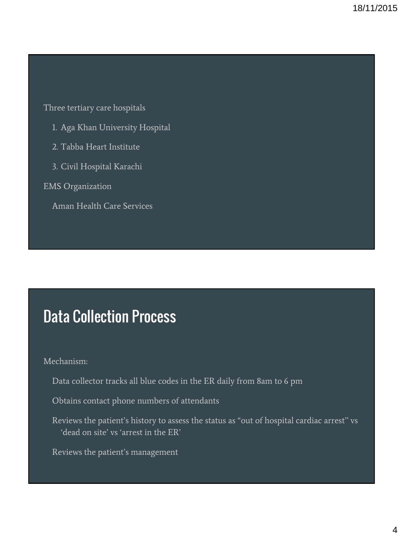Three tertiary care hospitals

- 1. Aga Khan University Hospital
- 2. Tabba Heart Institute
- 3. Civil Hospital Karachi

EMS Organization

Aman Health Care Services

#### Data Collection Process

#### Mechanism:

- Data collector tracks all blue codes in the ER daily from 8am to 6 pm
- Obtains contact phone numbers of attendants
- Reviews the patient's history to assess the status as "out of hospital cardiac arrest'' vs 'dead on site' vs 'arrest in the ER'
- Reviews the patient's management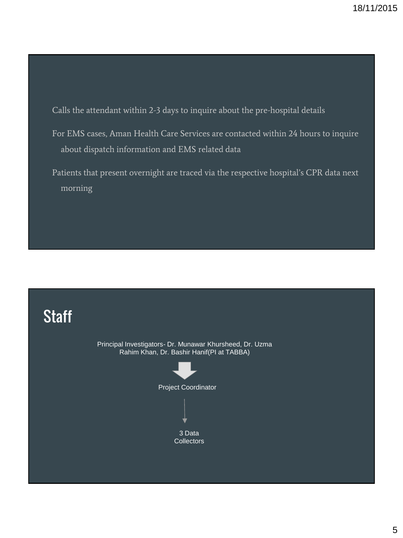Calls the attendant within 2-3 days to inquire about the pre-hospital details

- For EMS cases, Aman Health Care Services are contacted within 24 hours to inquire about dispatch information and EMS related data
- Patients that present overnight are traced via the respective hospital's CPR data next morning

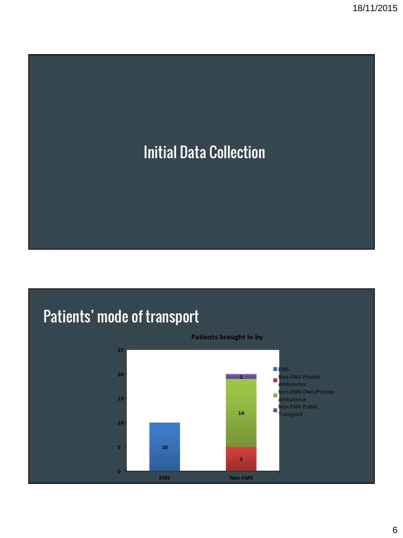

# Patients' mode of transport

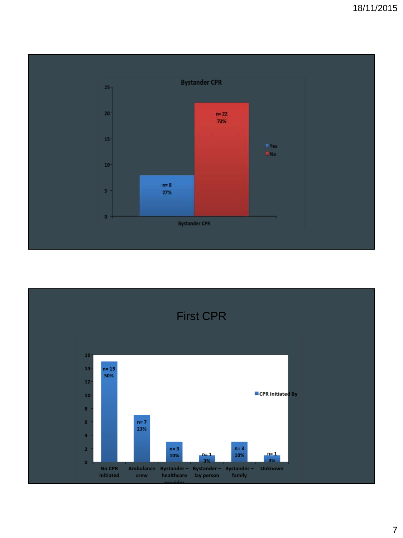

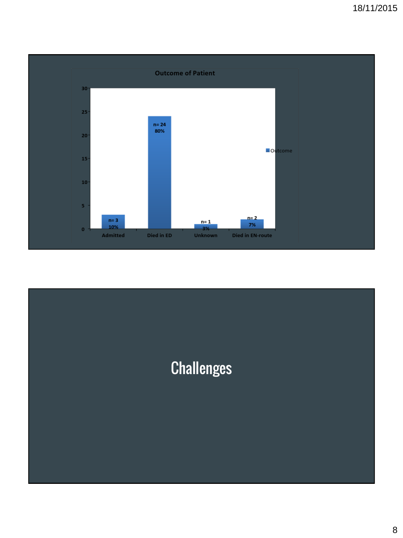